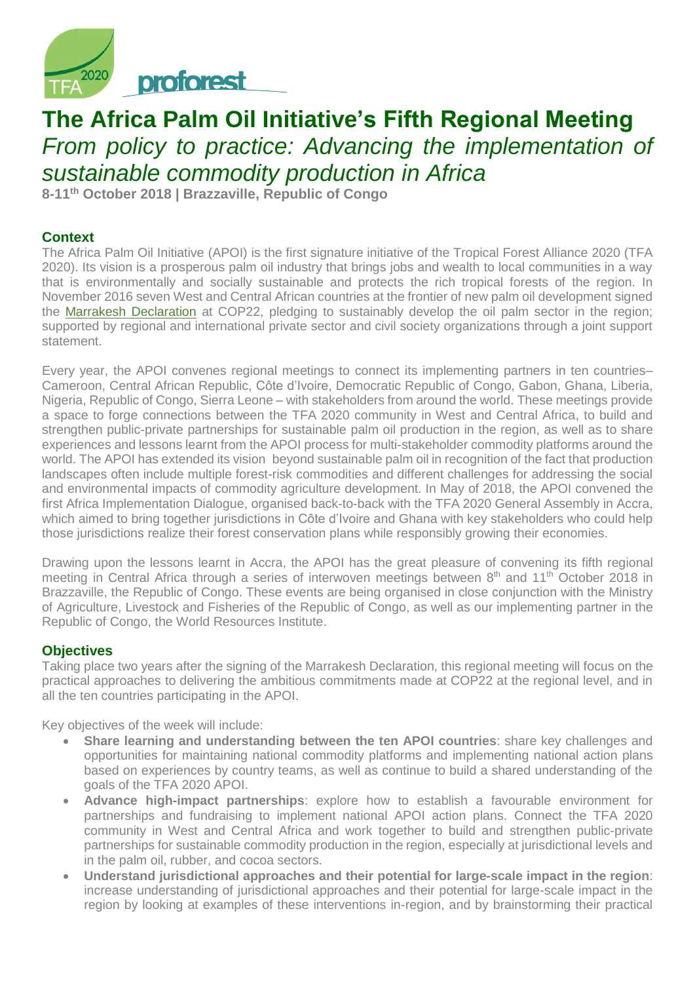

# **The Africa Palm Oil Initiative's Fifth Regional Meeting** *From policy to practice: Advancing the implementation of sustainable commodity production in Africa*

**8-11th October 2018 | Brazzaville, Republic of Congo**

## **Context**

The Africa Palm Oil Initiative (APOI) is the first signature initiative of the Tropical Forest Alliance 2020 (TFA 2020). Its vision is a prosperous palm oil industry that brings jobs and wealth to local communities in a way that is environmentally and socially sustainable and protects the rich tropical forests of the region. In November 2016 seven West and Central African countries at the frontier of new palm oil development signed the [Marrakesh Declaration](https://www.tfa2020.org/wp-content/uploads/2017/04/TFA2020_Marrakesh_Declaration_post-embargoed.pdf) at COP22, pledging to sustainably develop the oil palm sector in the region; supported by regional and international private sector and civil society organizations through a joint support statement.

Every year, the APOI convenes regional meetings to connect its implementing partners in ten countries– Cameroon, Central African Republic, Côte d'Ivoire, Democratic Republic of Congo, Gabon, Ghana, Liberia, Nigeria, Republic of Congo, Sierra Leone – with stakeholders from around the world. These meetings provide a space to forge connections between the TFA 2020 community in West and Central Africa, to build and strengthen public-private partnerships for sustainable palm oil production in the region, as well as to share experiences and lessons learnt from the APOI process for multi-stakeholder commodity platforms around the world. The APOI has extended its vision beyond sustainable palm oil in recognition of the fact that production landscapes often include multiple forest-risk commodities and different challenges for addressing the social and environmental impacts of commodity agriculture development. In May of 2018, the APOI convened the first Africa Implementation Dialogue, organised back-to-back with the TFA 2020 General Assembly in Accra, which aimed to bring together jurisdictions in Côte d'Ivoire and Ghana with key stakeholders who could help those jurisdictions realize their forest conservation plans while responsibly growing their economies.

Drawing upon the lessons learnt in Accra, the APOI has the great pleasure of convening its fifth regional meeting in Central Africa through a series of interwoven meetings between 8<sup>th</sup> and 11<sup>th</sup> October 2018 in Brazzaville, the Republic of Congo. These events are being organised in close conjunction with the Ministry of Agriculture, Livestock and Fisheries of the Republic of Congo, as well as our implementing partner in the Republic of Congo, the World Resources Institute.

### **Objectives**

Taking place two years after the signing of the Marrakesh Declaration, this regional meeting will focus on the practical approaches to delivering the ambitious commitments made at COP22 at the regional level, and in all the ten countries participating in the APOI.

Key objectives of the week will include:

- **Share learning and understanding between the ten APOI countries**: share key challenges and opportunities for maintaining national commodity platforms and implementing national action plans based on experiences by country teams, as well as continue to build a shared understanding of the goals of the TFA 2020 APOI.
- **Advance high-impact partnerships**: explore how to establish a favourable environment for partnerships and fundraising to implement national APOI action plans. Connect the TFA 2020 community in West and Central Africa and work together to build and strengthen public-private partnerships for sustainable commodity production in the region, especially at jurisdictional levels and in the palm oil, rubber, and cocoa sectors.
- **Understand jurisdictional approaches and their potential for large-scale impact in the region**: increase understanding of jurisdictional approaches and their potential for large-scale impact in the region by looking at examples of these interventions in-region, and by brainstorming their practical